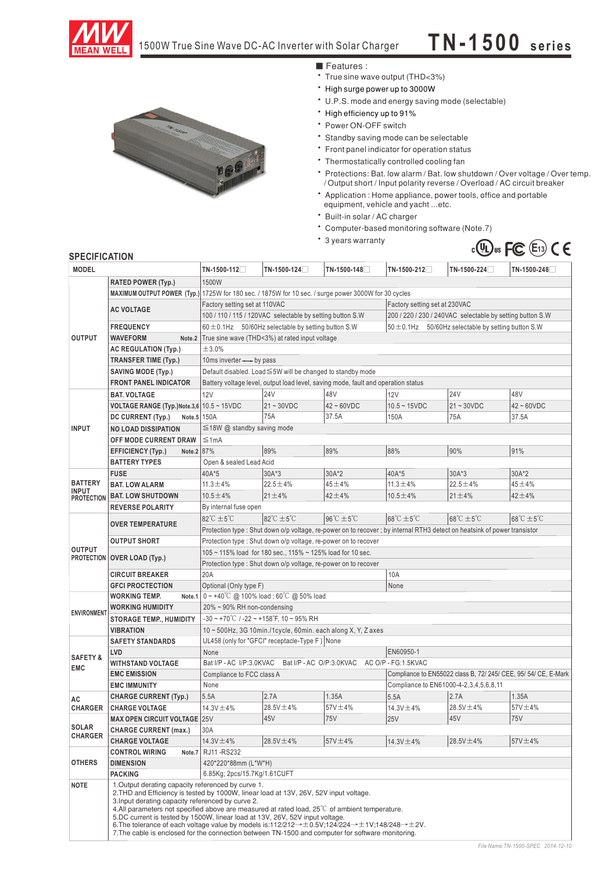

# 1500W True Sine Wave DC-AC Inverter with Solar Charger **T N -1 50 0 s eri es**

‧True sine wave output (THD<3%) ■ Features :

- ‧High surge power up to 3000W
- ‧U.P.S. mode and energy saving mode (selectable)
- ‧High efficiency up to 91%
- ‧Power ON-OFF switch
- ‧Standby saving mode can be selectable
- ‧Front panel indicator for operation status
- ‧Thermostatically controlled cooling fan
- ‧Protections: Bat. low alarm / Bat. low shutdown / Over voltage / Over temp. / Output short / Input polarity reverse / Overload / AC circuit breaker
- ‧Application : Home appliance, power tools, office and portable equipment, vehicle and yacht ...etc.
- ‧Built-in solar / AC charger
- ‧Computer-based monitoring software (Note.7)
- ‧3 years warranty



### **SPECIFICATION**

| <b>MODEL</b>                   |                                                           | TN-1500-112                                                                                                                                                                                                                                                                                                                                                                                                                                                                                                                                                                                                                                         | TN-1500-124                                                                                          | TN-1500-148                      | TN-1500-212                                                     | TN-1500-224     | $TN-1500-248$                       |  |  |  |
|--------------------------------|-----------------------------------------------------------|-----------------------------------------------------------------------------------------------------------------------------------------------------------------------------------------------------------------------------------------------------------------------------------------------------------------------------------------------------------------------------------------------------------------------------------------------------------------------------------------------------------------------------------------------------------------------------------------------------------------------------------------------------|------------------------------------------------------------------------------------------------------|----------------------------------|-----------------------------------------------------------------|-----------------|-------------------------------------|--|--|--|
|                                | <b>RATED POWER (Typ.)</b>                                 | 1500W                                                                                                                                                                                                                                                                                                                                                                                                                                                                                                                                                                                                                                               |                                                                                                      |                                  |                                                                 |                 |                                     |  |  |  |
|                                |                                                           |                                                                                                                                                                                                                                                                                                                                                                                                                                                                                                                                                                                                                                                     | MAXIMUM OUTPUT POWER (Typ.) 1725W for 180 sec. / 1875W for 10 sec. / surge power 3000W for 30 cycles |                                  |                                                                 |                 |                                     |  |  |  |
|                                |                                                           | Factory setting set at 110VAC<br>Factory setting set at 230VAC                                                                                                                                                                                                                                                                                                                                                                                                                                                                                                                                                                                      |                                                                                                      |                                  |                                                                 |                 |                                     |  |  |  |
|                                | <b>AC VOLTAGE</b>                                         | 100 / 110 / 115 / 120VAC selectable by setting button S.W                                                                                                                                                                                                                                                                                                                                                                                                                                                                                                                                                                                           |                                                                                                      |                                  | 200 / 220 / 230 / 240VAC selectable by setting button S.W       |                 |                                     |  |  |  |
|                                | <b>FREQUENCY</b>                                          |                                                                                                                                                                                                                                                                                                                                                                                                                                                                                                                                                                                                                                                     |                                                                                                      |                                  |                                                                 |                 |                                     |  |  |  |
| <b>OUTPUT</b>                  | <b>WAVEFORM</b><br>Note.2                                 | $60 \pm 0.1$ Hz 50/60Hz selectable by setting button S.W<br>$50 \pm 0.1$ Hz 50/60Hz selectable by setting button S.W                                                                                                                                                                                                                                                                                                                                                                                                                                                                                                                                |                                                                                                      |                                  |                                                                 |                 |                                     |  |  |  |
|                                | <b>AC REGULATION (Typ.)</b>                               | True sine wave (THD<3%) at rated input voltage<br>±3.0%                                                                                                                                                                                                                                                                                                                                                                                                                                                                                                                                                                                             |                                                                                                      |                                  |                                                                 |                 |                                     |  |  |  |
|                                |                                                           |                                                                                                                                                                                                                                                                                                                                                                                                                                                                                                                                                                                                                                                     |                                                                                                      |                                  |                                                                 |                 |                                     |  |  |  |
|                                | <b>TRANSFER TIME (Typ.)</b>                               | 10ms inverter-by pass<br>Default disabled. Load ≤5W will be changed to standby mode                                                                                                                                                                                                                                                                                                                                                                                                                                                                                                                                                                 |                                                                                                      |                                  |                                                                 |                 |                                     |  |  |  |
|                                | <b>SAVING MODE (Typ.)</b><br><b>FRONT PANEL INDICATOR</b> |                                                                                                                                                                                                                                                                                                                                                                                                                                                                                                                                                                                                                                                     |                                                                                                      |                                  |                                                                 |                 |                                     |  |  |  |
|                                |                                                           | Battery voltage level, output load level, saving mode, fault and operation status<br><b>24V</b><br>48V<br><b>24V</b><br>48V                                                                                                                                                                                                                                                                                                                                                                                                                                                                                                                         |                                                                                                      |                                  |                                                                 |                 |                                     |  |  |  |
|                                | <b>BAT. VOLTAGE</b>                                       | 12V                                                                                                                                                                                                                                                                                                                                                                                                                                                                                                                                                                                                                                                 |                                                                                                      |                                  | 12V                                                             |                 |                                     |  |  |  |
|                                | VOLTAGE RANGE (Typ.)Note.3,6 10.5 ~ 15VDC                 |                                                                                                                                                                                                                                                                                                                                                                                                                                                                                                                                                                                                                                                     | $21 - 30VDC$                                                                                         | $42 \sim 60$ VDC                 | $10.5 - 15VDC$                                                  | $21 - 30VDC$    | $42 - 60VDC$                        |  |  |  |
|                                | DC CURRENT (Typ.)<br>Note.5 150A                          |                                                                                                                                                                                                                                                                                                                                                                                                                                                                                                                                                                                                                                                     | 75A                                                                                                  | 37.5A                            | 150A                                                            | 75A             | 37.5A                               |  |  |  |
| <b>INPUT</b>                   | <b>NO LOAD DISSIPATION</b>                                |                                                                                                                                                                                                                                                                                                                                                                                                                                                                                                                                                                                                                                                     | $\leq$ 18W @ standby saving mode                                                                     |                                  |                                                                 |                 |                                     |  |  |  |
|                                | OFF MODE CURRENT DRAW                                     | $\leq 1$ mA                                                                                                                                                                                                                                                                                                                                                                                                                                                                                                                                                                                                                                         |                                                                                                      |                                  |                                                                 |                 |                                     |  |  |  |
|                                | Note.2 87%<br><b>EFFICIENCY (Typ.)</b>                    |                                                                                                                                                                                                                                                                                                                                                                                                                                                                                                                                                                                                                                                     | 89%                                                                                                  | 89%                              | 88%                                                             | 90%             | 91%                                 |  |  |  |
|                                | <b>BATTERY TYPES</b>                                      | Open & sealed Lead Acid                                                                                                                                                                                                                                                                                                                                                                                                                                                                                                                                                                                                                             |                                                                                                      |                                  |                                                                 |                 |                                     |  |  |  |
|                                | <b>FUSE</b>                                               | 40A*5                                                                                                                                                                                                                                                                                                                                                                                                                                                                                                                                                                                                                                               | $30A*3$                                                                                              | 30A*2                            | 40A*5                                                           | $30A*3$         | 30A*2                               |  |  |  |
| <b>BATTERY</b><br><b>INPUT</b> | <b>BAT. LOW ALARM</b>                                     | $11.3 \pm 4\%$                                                                                                                                                                                                                                                                                                                                                                                                                                                                                                                                                                                                                                      | $22.5 \pm 4\%$                                                                                       | $45 + 4%$                        | $11.3 \pm 4\%$                                                  | $22.5 \pm 4\%$  | $45 + 4%$                           |  |  |  |
| <b>PROTECTION</b>              | <b>BAT. LOW SHUTDOWN</b>                                  | $10.5 \pm 4\%$                                                                                                                                                                                                                                                                                                                                                                                                                                                                                                                                                                                                                                      | $21 \pm 4\%$                                                                                         | $42 + 4%$                        | $10.5 \pm 4\%$                                                  | $21 \pm 4\%$    | $42 + 4%$                           |  |  |  |
|                                | <b>REVERSE POLARITY</b>                                   | By internal fuse open                                                                                                                                                                                                                                                                                                                                                                                                                                                                                                                                                                                                                               |                                                                                                      |                                  |                                                                 |                 |                                     |  |  |  |
|                                | <b>OVER TEMPERATURE</b>                                   | $82^{\circ}$ C $\pm$ 5 $^{\circ}$ C                                                                                                                                                                                                                                                                                                                                                                                                                                                                                                                                                                                                                 | $82^{\circ}$ C $\pm 5^{\circ}$ C                                                                     | $96^{\circ}$ C $\pm 5^{\circ}$ C | $68^{\circ}$ C $\pm$ 5 $^{\circ}$ C                             | 68°C ±5°C       | $68^{\circ}$ C $\pm$ 5 $^{\circ}$ C |  |  |  |
|                                |                                                           | Protection type : Shut down o/p voltage, re-power on to recover; by internal RTH3 detect on heatsink of power transistor                                                                                                                                                                                                                                                                                                                                                                                                                                                                                                                            |                                                                                                      |                                  |                                                                 |                 |                                     |  |  |  |
|                                | <b>OUTPUT SHORT</b>                                       | Protection type: Shut down o/p voltage, re-power on to recover                                                                                                                                                                                                                                                                                                                                                                                                                                                                                                                                                                                      |                                                                                                      |                                  |                                                                 |                 |                                     |  |  |  |
| <b>OUTPUT</b>                  | PROTECTION OVER LOAD (Typ.)                               | 105 ~ 115% load for 180 sec., 115% ~ 125% load for 10 sec.                                                                                                                                                                                                                                                                                                                                                                                                                                                                                                                                                                                          |                                                                                                      |                                  |                                                                 |                 |                                     |  |  |  |
|                                |                                                           | Protection type : Shut down o/p voltage, re-power on to recover                                                                                                                                                                                                                                                                                                                                                                                                                                                                                                                                                                                     |                                                                                                      |                                  |                                                                 |                 |                                     |  |  |  |
|                                | <b>CIRCUIT BREAKER</b>                                    | 20A                                                                                                                                                                                                                                                                                                                                                                                                                                                                                                                                                                                                                                                 |                                                                                                      |                                  | 10A                                                             |                 |                                     |  |  |  |
|                                | <b>GFCI PROCTECTION</b>                                   | Optional (Only type F)                                                                                                                                                                                                                                                                                                                                                                                                                                                                                                                                                                                                                              |                                                                                                      | None                             |                                                                 |                 |                                     |  |  |  |
|                                | <b>WORKING TEMP.</b><br>Note.1                            | $0 \sim +40^{\circ}$ C @ 100% load; 60 $^{\circ}$ C @ 50% load                                                                                                                                                                                                                                                                                                                                                                                                                                                                                                                                                                                      |                                                                                                      |                                  |                                                                 |                 |                                     |  |  |  |
| <b>ENVIRONMENT</b>             | <b>WORKING HUMIDITY</b>                                   | $20\% \sim 90\%$ RH non-condensing                                                                                                                                                                                                                                                                                                                                                                                                                                                                                                                                                                                                                  |                                                                                                      |                                  |                                                                 |                 |                                     |  |  |  |
|                                | <b>STORAGE TEMP., HUMIDITY</b>                            | $-30 \sim +70^{\circ}$ C / $-22 \sim +158^{\circ}$ F, 10 ~ 95% RH                                                                                                                                                                                                                                                                                                                                                                                                                                                                                                                                                                                   |                                                                                                      |                                  |                                                                 |                 |                                     |  |  |  |
|                                | <b>VIBRATION</b>                                          | 10 ~ 500Hz, 3G 10min./1cycle, 60min. each along X, Y, Z axes                                                                                                                                                                                                                                                                                                                                                                                                                                                                                                                                                                                        |                                                                                                      |                                  |                                                                 |                 |                                     |  |  |  |
|                                | <b>SAFETY STANDARDS</b>                                   | UL458 (only for "GFCI" receptacle-Type F) None                                                                                                                                                                                                                                                                                                                                                                                                                                                                                                                                                                                                      |                                                                                                      |                                  |                                                                 |                 |                                     |  |  |  |
| <b>SAFETY &amp;</b>            | LVD                                                       | EN60950-1<br>None                                                                                                                                                                                                                                                                                                                                                                                                                                                                                                                                                                                                                                   |                                                                                                      |                                  |                                                                 |                 |                                     |  |  |  |
| <b>EMC</b>                     | <b>WITHSTAND VOLTAGE</b>                                  |                                                                                                                                                                                                                                                                                                                                                                                                                                                                                                                                                                                                                                                     | Bat I/P - AC I/P:3.0KVAC<br>Bat I/P - AC O/P:3.0KVAC AC O/P - FG:1.5KVAC                             |                                  |                                                                 |                 |                                     |  |  |  |
|                                | <b>EMC EMISSION</b>                                       | Compliance to FCC class A                                                                                                                                                                                                                                                                                                                                                                                                                                                                                                                                                                                                                           |                                                                                                      |                                  | Compliance to EN55022 class B, 72/ 245/ CEE, 95/ 54/ CE, E-Mark |                 |                                     |  |  |  |
|                                | <b>EMC IMMUNITY</b>                                       | Compliance to EN61000-4-2, 3, 4, 5, 6, 8, 11<br>None                                                                                                                                                                                                                                                                                                                                                                                                                                                                                                                                                                                                |                                                                                                      |                                  |                                                                 |                 |                                     |  |  |  |
| AC                             | <b>CHARGE CURRENT (Typ.)</b>                              | 5.5A                                                                                                                                                                                                                                                                                                                                                                                                                                                                                                                                                                                                                                                | 2.7A                                                                                                 | 1.35A                            | 5.5A                                                            | 2.7A            | 1.35A                               |  |  |  |
| <b>CHARGER</b>                 | <b>CHARGE VOLTAGE</b>                                     | $14.3V \pm 4\%$                                                                                                                                                                                                                                                                                                                                                                                                                                                                                                                                                                                                                                     | $28.5V \pm 4\%$                                                                                      | $57V \pm 4\%$                    | 14.3V ± 4%                                                      | 28.5V ±4%       | 57V ±4%                             |  |  |  |
|                                | <b>MAX OPEN CIRCUIT VOLTAGE 25V</b>                       |                                                                                                                                                                                                                                                                                                                                                                                                                                                                                                                                                                                                                                                     | 45V                                                                                                  | <b>75V</b>                       | <b>25V</b>                                                      | 45V             | 75V                                 |  |  |  |
| <b>SOLAR</b><br><b>CHARGER</b> | <b>CHARGE CURRENT (max.)</b>                              | 30A                                                                                                                                                                                                                                                                                                                                                                                                                                                                                                                                                                                                                                                 |                                                                                                      |                                  |                                                                 |                 |                                     |  |  |  |
|                                | <b>CHARGE VOLTAGE</b>                                     | 14.3V ±4%                                                                                                                                                                                                                                                                                                                                                                                                                                                                                                                                                                                                                                           | $28.5V \pm 4\%$                                                                                      | $57V \pm 4\%$                    | 14.3V $\pm$ 4%                                                  | $28.5V \pm 4\%$ | 57V ±4%                             |  |  |  |
|                                | <b>CONTROL WIRING</b><br>Note.7                           | RJ11-RS232                                                                                                                                                                                                                                                                                                                                                                                                                                                                                                                                                                                                                                          |                                                                                                      |                                  |                                                                 |                 |                                     |  |  |  |
| <b>OTHERS</b>                  | <b>DIMENSION</b>                                          | 420*220*88mm (L*W*H)                                                                                                                                                                                                                                                                                                                                                                                                                                                                                                                                                                                                                                |                                                                                                      |                                  |                                                                 |                 |                                     |  |  |  |
|                                | <b>PACKING</b>                                            | 6.85Kg; 2pcs/15.7Kg/1.61CUFT                                                                                                                                                                                                                                                                                                                                                                                                                                                                                                                                                                                                                        |                                                                                                      |                                  |                                                                 |                 |                                     |  |  |  |
| <b>NOTE</b>                    |                                                           | 1. Output derating capacity referenced by curve 1.<br>2. THD and Efficiency is tested by 1000W, linear load at 13V, 26V, 52V input voltage.<br>3. Input derating capacity referenced by curve 2.<br>4. All parameters not specified above are measured at rated load, $25^{\circ}$ of ambient temperature.<br>5.DC current is tested by 1500W, linear load at 13V, 26V, 52V input voltage.<br>6. The tolerance of each voltage value by models is:112/212 $\rightarrow \pm 0.5V$ ;124/224 $\rightarrow \pm 1V$ ;148/248 $\rightarrow \pm 2V$ .<br>7. The cable is enclosed for the connection between TN-1500 and computer for software monitoring. |                                                                                                      |                                  |                                                                 |                 |                                     |  |  |  |

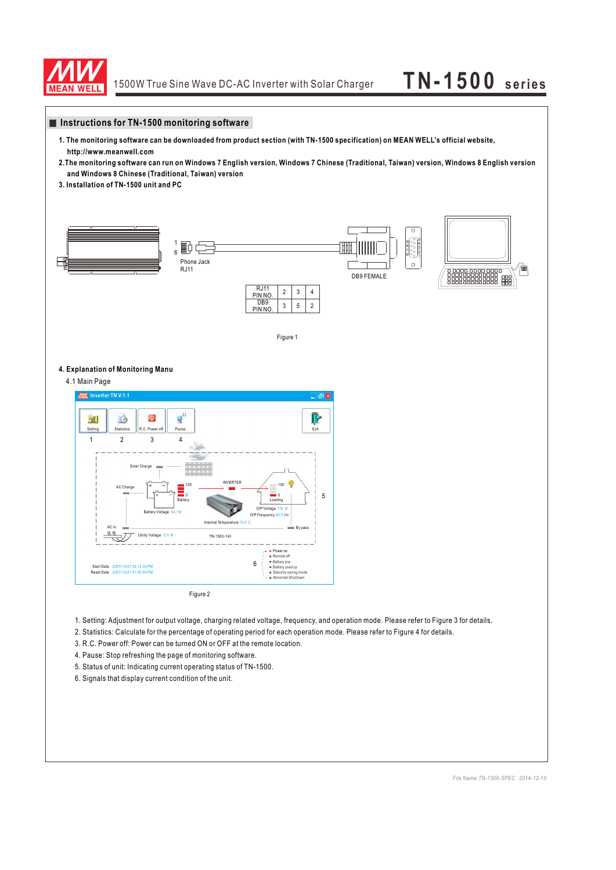

# **Instructions for TN-1500 monitoring software**

- **1. The monitoring software can be downloaded from product section (with TN-1500 specification) on MEAN WELL's official website, http://www.meanwell.com**
- **2.The monitoring software can run on Windows 7 English version, Windows 7 Chinese (Traditional, Taiwan) version, Windows 8 English version and Windows 8 Chinese (Traditional, Taiwan) version**
- **3. Installation of TN-1500 unit and PC**



# **4. Explanation of Monitoring Manu**

4.1 Main Page



Figure 2

- 1. Setting: Adjustment for output voltage, charging related voltage, frequency, and operation mode. Please refer to Figure 3 for details.
- 2. Statistics: Calculate for the percentage of operating period for each operation mode. Please refer to Figure 4 for details.
- 3. R.C. Power off: Power can be turned ON or OFF at the remote location.
- 4. Pause: Stop refreshing the page of monitoring software.
- 5. Status of unit: Indicating current operating status of TN-1500.
- 6. Signals that display current condition of the unit.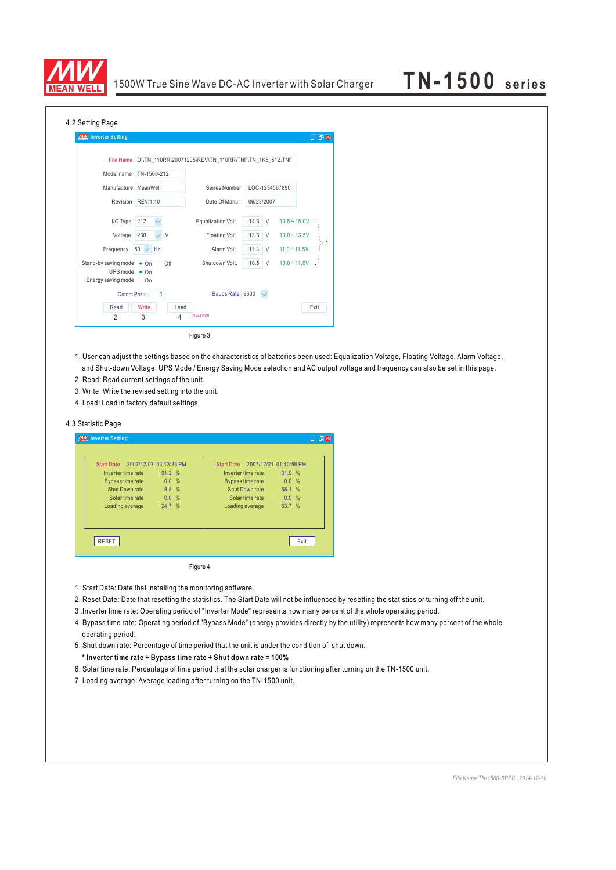

| 4.2 Setting Page                                                                                   |                                                      |                        |                |                |  |  |  |
|----------------------------------------------------------------------------------------------------|------------------------------------------------------|------------------------|----------------|----------------|--|--|--|
| <b>MW</b> Inverter Setting                                                                         |                                                      |                        |                | $\Box$ ex      |  |  |  |
|                                                                                                    |                                                      |                        |                |                |  |  |  |
| <b>File Name</b>                                                                                   | D:\TN_110RR\20071205\REV\TN_110RR\TNF\TN_1K5_512.TNF |                        |                |                |  |  |  |
| Model name                                                                                         | TN-1500-212                                          |                        |                |                |  |  |  |
| Manufacture MeanWell                                                                               |                                                      | Series Number          | LOC-1234567890 |                |  |  |  |
|                                                                                                    | Revision REV:1.10                                    | Date Of Manu.          | 06/23/2007     |                |  |  |  |
| I/O Type                                                                                           | 212<br>$\checkmark$                                  | Equalization Volt.     | $14.3$ V       | $13.5 - 15.0V$ |  |  |  |
| Voltage                                                                                            | 230<br>$\vee$ V                                      | Floating Volt.         | $13.3$ V       | $13.0 - 13.5V$ |  |  |  |
| Frequency                                                                                          | $50 \vee$ Hz                                         | Alarm Volt.            | $11.3$ V       | $11.0 - 11.5V$ |  |  |  |
| Stand-by saving mode $\bullet$ On Off<br>UPS mode $\bullet$ On<br>Energy saving mode $\bigcirc$ On |                                                      | Shutdown Volt.         | $10.5$ V       | $10.0 - 11.0V$ |  |  |  |
| <b>Comm Ports</b>                                                                                  | $\mathbf{1}$                                         | Bauds Rate 9600 $\vee$ |                |                |  |  |  |
| Read                                                                                               | Write<br>Lead                                        |                        |                | Exit           |  |  |  |
| $\overline{2}$                                                                                     | 3<br>4                                               | Read OK!!              |                |                |  |  |  |
|                                                                                                    |                                                      |                        |                |                |  |  |  |

Figure 3

- 1. User can adjust the settings based on the characteristics of batteries been used: Equalization Voltage, Floating Voltage, Alarm Voltage, and Shut-down Voltage. UPS Mode / Energy Saving Mode selection and AC output voltage and frequency can also be set in this page.
- 2. Read: Read current settings of the unit.
- 3. Write: Write the revised setting into the unit.
- 4. Load: Load in factory default settings.

### 4.3 Statistic Page

| <b>MIX</b> Inverter Setting |                        |                                   |        | ⊡@⊠ |
|-----------------------------|------------------------|-----------------------------------|--------|-----|
|                             |                        |                                   |        |     |
| Start Date                  | 2007/12/07 03:13:33 PM | Start Date 2007/12/21 01:40:56 PM |        |     |
| Inverter time rate          | 91.2 %                 | Inverter time rate                | 31.9%  |     |
| <b>Bypass time rate</b>     | 0.0 %                  | <b>Bypass time rate</b>           | 0.0%   |     |
| Shut Down rate              | 8.8%                   | Shut Down rate                    | 68.1 % |     |
| Solar time rate             | 0.0%                   | Solar time rate                   | 0.0%   |     |
| Loading average             | 24.7 %                 | Loading average                   | 63.7 % |     |
|                             |                        |                                   |        |     |
| <b>RESET</b>                |                        |                                   | Exit   |     |

Figure 4

- 1. Start Date: Date that installing the monitoring software.
- 2. Reset Date: Date that resetting the statistics. The Start Date will not be influenced by resetting the statistics or turning off the unit.
- 3 .Inverter time rate: Operating period of "Inverter Mode" represents how many percent of the whole operating period.
- 4. Bypass time rate: Operating period of "Bypass Mode" (energy provides directly by the utility) represents how many percent of the whole operating period.
- 5. Shut down rate: Percentage of time period that the unit is under the condition of shut down.
- **\* Inverter time rate + Bypass time rate + Shut down rate = 100%**
- 6. Solar time rate: Percentage of time period that the solar charger is functioning after turning on the TN-1500 unit.
- 7. Loading average: Average loading after turning on the TN-1500 unit.